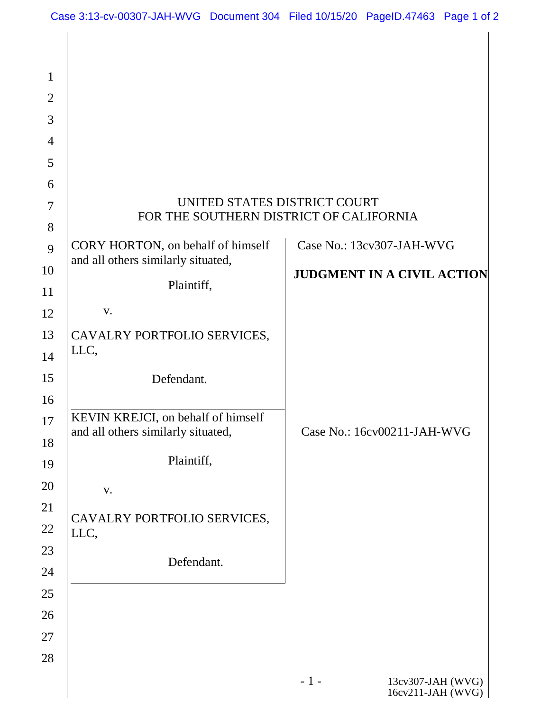| $\mathbf{1}$   |                                                                          |                                                 |
|----------------|--------------------------------------------------------------------------|-------------------------------------------------|
| $\overline{2}$ |                                                                          |                                                 |
| 3              |                                                                          |                                                 |
| $\overline{4}$ |                                                                          |                                                 |
| 5              |                                                                          |                                                 |
| 6              |                                                                          |                                                 |
| $\tau$         | UNITED STATES DISTRICT COURT<br>FOR THE SOUTHERN DISTRICT OF CALIFORNIA  |                                                 |
| 8              |                                                                          |                                                 |
| 9              | CORY HORTON, on behalf of himself<br>and all others similarly situated,  | Case No.: 13cv307-JAH-WVG                       |
| 10<br>11       | Plaintiff,                                                               | <b>JUDGMENT IN A CIVIL ACTION</b>               |
| 12             | V.                                                                       |                                                 |
| 13             | CAVALRY PORTFOLIO SERVICES,                                              |                                                 |
| 14             | LLC,                                                                     |                                                 |
| 15             | Defendant.                                                               |                                                 |
| 16             |                                                                          |                                                 |
| 17             | KEVIN KREJCI, on behalf of himself<br>and all others similarly situated, | Case No.: 16cv00211-JAH-WVG                     |
| 18<br>19       | Plaintiff,                                                               |                                                 |
| 20             | V.                                                                       |                                                 |
| 21             |                                                                          |                                                 |
| 22             | CAVALRY PORTFOLIO SERVICES,<br>LLC,                                      |                                                 |
| 23             | Defendant.                                                               |                                                 |
| 24             |                                                                          |                                                 |
| 25             |                                                                          |                                                 |
| 26             |                                                                          |                                                 |
| 27             |                                                                          |                                                 |
| 28             |                                                                          |                                                 |
|                |                                                                          | $-1-$<br>13cv307-JAH (WVG)<br>16cv211-JAH (WVG) |